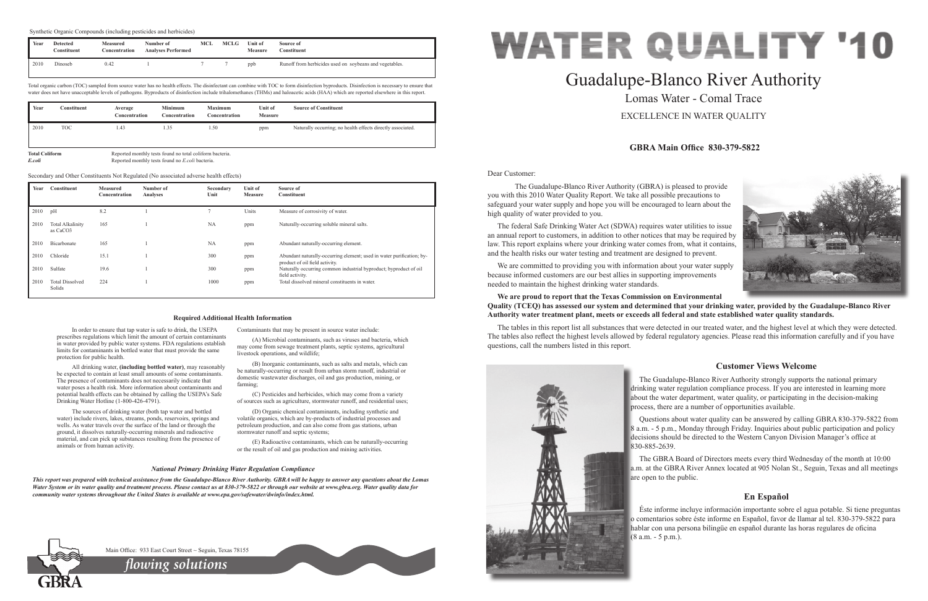Dear Customer:

 The Guadalupe-Blanco River Authority (GBRA) is pleased to provide you with this 2010 Water Quality Report. We take all possible precautions to safeguard your water supply and hope you will be encouraged to learn about the high quality of water provided to you.

The federal Safe Drinking Water Act (SDWA) requires water utilities to issue an annual report to customers, in addition to other notices that may be required by law. This report explains where your drinking water comes from, what it contains, and the health risks our water testing and treatment are designed to prevent.

We are committed to providing you with information about your water supply because informed customers are our best allies in supporting improvements needed to maintain the highest drinking water standards.

# **We are proud to report that the Texas Commission on Environmental Quality (TCEQ) has assessed our system and determined that your drinking water, provided by the Guadalupe-Blanco River Authority water treatment plant, meets or exceeds all federal and state established water quality standards.**

The tables in this report list all substances that were detected in our treated water, and the highest level at which they were detected. The tables also reflect the highest levels allowed by federal regulatory agencies. Please read this information carefully and if you have questions, call the numbers listed in this report.



# Guadalupe-Blanco River Authority Lomas Water - Comal Trace EXCELLENCE IN WATER QUALITY

# **GBRA Main Office 830-379-5822**

# **Customer Views Welcome**

The Guadalupe-Blanco River Authority strongly supports the national primary drinking water regulation compliance process. If you are interested in learning more about the water department, water quality, or participating in the decision-making process, there are a number of opportunities available.

Questions about water quality can be answered by calling GBRA 830-379-5822 from 8 a.m. - 5 p.m., Monday through Friday. Inquiries about public participation and policy decisions should be directed to the Western Canyon Division Manager's office at 830-885-2639.

The GBRA Board of Directors meets every third Wednesday of the month at 10:00 a.m. at the GBRA River Annex located at 905 Nolan St., Seguin, Texas and all meetings are open to the public.

# **En Español**

Éste informe incluye información importante sobre el agua potable. Si tiene preguntas o comentarios sobre éste informe en Español, favor de llamar al tel. 830-379-5822 para hablar con una persona bilingüe en español durante las horas regulares de oficina (8 a.m. - 5 p.m.).



In order to ensure that tap water is safe to drink, the USEPA prescribes regulations which limit the amount of certain contaminants in water provided by public water systems. FDA regulations establish limits for contaminants in bottled water that must provide the same

protection for public health.

All drinking water, **(including bottled water)**, may reasonably be expected to contain at least small amounts of some contaminants. The presence of contaminants does not necessarily indicate that water poses a health risk. More information about contaminants and potential health effects can be obtained by calling the USEPA's Safe

Drinking Water Hotline (1-800-426-4791).

The sources of drinking water (both tap water and bottled water) include rivers, lakes, streams, ponds, reservoirs, springs and wells. As water travels over the surface of the land or through the ground, it dissolves naturally-occurring minerals and radioactive material, and can pick up substances resulting from the presence of

animals or from human activity.

Contaminants that may be present in source water include:

(A) Microbial contaminants, such as viruses and bacteria, which may come from sewage treatment plants, septic systems, agricultural livestock operations, and wildlife;

(B) Inorganic contaminants, such as salts and metals, which can be naturally-occurring or result from urban storm runoff, industrial or domestic wastewater discharges, oil and gas production, mining, or farming;

(C) Pesticides and herbicides, which may come from a variety of sources such as agriculture, stormwater runoff, and residential uses;

(D) Organic chemical contaminants, including synthetic and volatile organics, which are by-products of industrial processes and petroleum production, and can also come from gas stations, urban stormwater runoff and septic systems;

(E) Radioactive contaminants, which can be naturally-occurring or the result of oil and gas production and mining activities.

#### **Required Additional Health Information**

## *National Primary Drinking Water Regulation Compliance*

*This report was prepared with technical assistance from the Guadalupe-Blanco River Authority. GBRA will be happy to answer any questions about the Lomas Water System or its water quality and treatment process. Please contact us at 830-379-5822 or through our website at www.gbra.org. Water quality data for community water systems throughout the United States is available at www.epa.gov/safewater/dwinfo/index.html.*



Main Office: 933 East Court Street ~ Seguin, Texas 78155

Total organic carbon (TOC) sampled from source water has no health effects. The disinfectant can combine with TOC to form disinfection byproducts. Disinfection is necessary to ensure that water does not have unacceptable levels of pathogens. Byproducts of disinfection include trihalomethanes (THMs) and haloacetic acids (HAA) which are reported elsewhere in this report.

| Year                            | Constituent | Average<br>Concentration | <b>Minimum</b><br>Concentration                                                                                     | <b>Maximum</b><br>Concentration | <b>Unit of</b><br><b>Measure</b> | <b>Source of Constituent</b>                                |
|---------------------------------|-------------|--------------------------|---------------------------------------------------------------------------------------------------------------------|---------------------------------|----------------------------------|-------------------------------------------------------------|
| 2010                            | <b>TOC</b>  | 1.43                     | 1.35                                                                                                                | 1.50                            | ppm                              | Naturally occurring; no health effects directly associated. |
| <b>Total Coliform</b><br>E.coli |             |                          | Reported monthly tests found no total coliform bacteria.<br>Reported monthly tests found no <i>E.coli</i> bacteria. |                                 |                                  |                                                             |

| Year | <b>Constituent</b>                              | <b>Measured</b><br>Concentration | Number of<br>Analyses | Secondary<br>Unit | <b>Unit of</b><br><b>Measure</b> | Source of<br><b>Constituent</b>                                                                         |
|------|-------------------------------------------------|----------------------------------|-----------------------|-------------------|----------------------------------|---------------------------------------------------------------------------------------------------------|
| 2010 | pH                                              | 8.2                              |                       |                   | Units                            | Measure of corrosivity of water.                                                                        |
| 2010 | <b>Total Alkalinity</b><br>as CaCO <sub>3</sub> | 165                              |                       | <b>NA</b>         | ppm                              | Naturally-occurring soluble mineral salts.                                                              |
| 2010 | Bicarbonate                                     | 165                              |                       | <b>NA</b>         | ppm                              | Abundant naturally-occurring element.                                                                   |
| 2010 | Chloride                                        | 15.1                             |                       | 300               | ppm                              | Abundant naturally-occurring element; used in water purification; by-<br>product of oil field activity. |
| 2010 | Sulfate                                         | 19.6                             |                       | 300               | ppm                              | Naturally occurring common industrial byproduct; byproduct of oil<br>field activity.                    |
| 2010 | <b>Total Dissolved</b><br>Solids                | 224                              |                       | 1000              | ppm                              | Total dissolved mineral constituents in water.                                                          |

Secondary and Other Constituents Not Regulated (No associated adverse health effects)

*flowing solutions*

| Year | Detected<br>Constituent | <b>Measured</b><br>Concentration | Number of<br><b>Analyses Performed</b> | MCL | MCLG | Unit of<br><b>Measure</b> | Source of<br>Constituent                                |
|------|-------------------------|----------------------------------|----------------------------------------|-----|------|---------------------------|---------------------------------------------------------|
| 2010 | <b>Dinoseb</b>          | 0.42                             |                                        |     |      | ppb                       | Runoff from herbicides used on soybeans and vegetables. |

#### Synthetic Organic Compounds (including pesticides and herbicides)